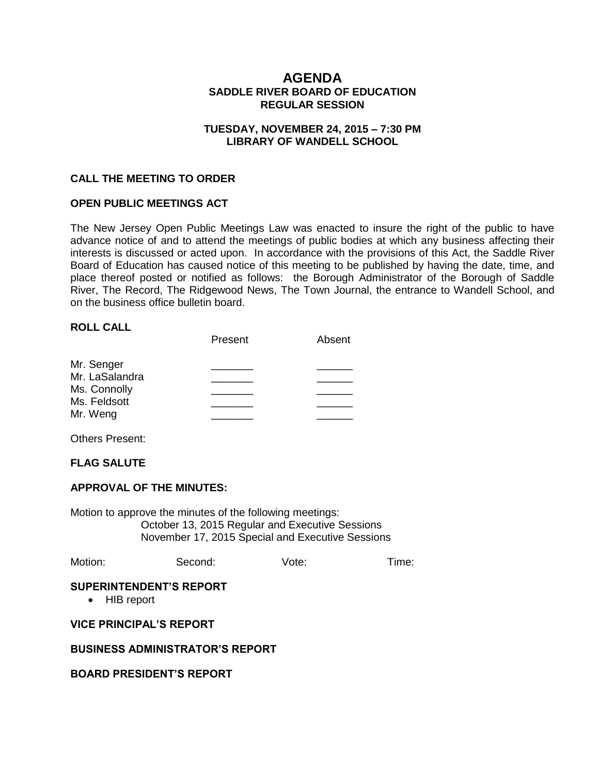# **AGENDA SADDLE RIVER BOARD OF EDUCATION REGULAR SESSION**

#### **TUESDAY, NOVEMBER 24, 2015 – 7:30 PM LIBRARY OF WANDELL SCHOOL**

#### **CALL THE MEETING TO ORDER**

#### **OPEN PUBLIC MEETINGS ACT**

The New Jersey Open Public Meetings Law was enacted to insure the right of the public to have advance notice of and to attend the meetings of public bodies at which any business affecting their interests is discussed or acted upon. In accordance with the provisions of this Act, the Saddle River Board of Education has caused notice of this meeting to be published by having the date, time, and place thereof posted or notified as follows: the Borough Administrator of the Borough of Saddle River, The Record, The Ridgewood News, The Town Journal, the entrance to Wandell School, and on the business office bulletin board.

#### **ROLL CALL**

|                | Present | Absent |
|----------------|---------|--------|
| Mr. Senger     |         |        |
| Mr. LaSalandra |         |        |
| Ms. Connolly   |         |        |
| Ms. Feldsott   |         |        |
| Mr. Weng       |         |        |

Others Present:

### **FLAG SALUTE**

#### **APPROVAL OF THE MINUTES:**

Motion to approve the minutes of the following meetings: October 13, 2015 Regular and Executive Sessions November 17, 2015 Special and Executive Sessions

| Motion: | Second: | Vote: | Time: |
|---------|---------|-------|-------|
|---------|---------|-------|-------|

#### **SUPERINTENDENT'S REPORT**

• HIB report

#### **VICE PRINCIPAL'S REPORT**

#### **BUSINESS ADMINISTRATOR'S REPORT**

#### **BOARD PRESIDENT'S REPORT**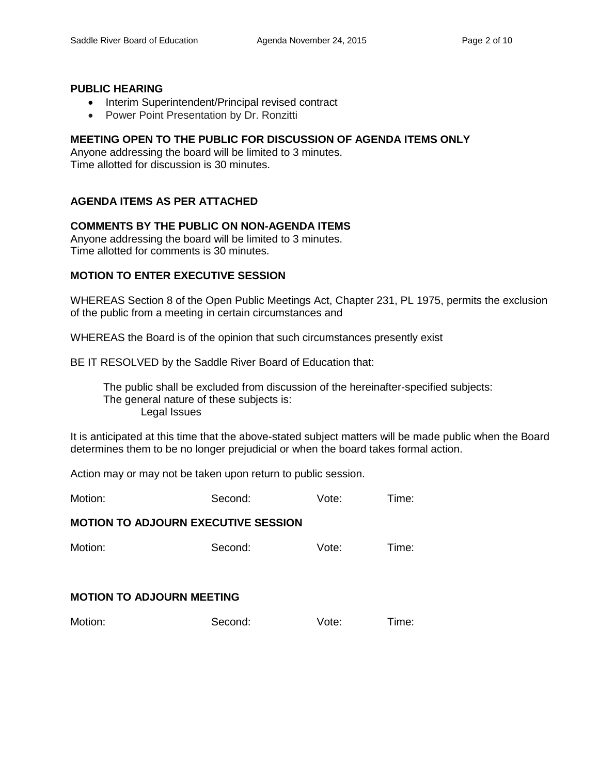#### **PUBLIC HEARING**

- Interim Superintendent/Principal revised contract
- Power Point Presentation by Dr. Ronzitti

# **MEETING OPEN TO THE PUBLIC FOR DISCUSSION OF AGENDA ITEMS ONLY**

Anyone addressing the board will be limited to 3 minutes. Time allotted for discussion is 30 minutes.

# **AGENDA ITEMS AS PER ATTACHED**

# **COMMENTS BY THE PUBLIC ON NON-AGENDA ITEMS**

Anyone addressing the board will be limited to 3 minutes. Time allotted for comments is 30 minutes.

### **MOTION TO ENTER EXECUTIVE SESSION**

WHEREAS Section 8 of the Open Public Meetings Act, Chapter 231, PL 1975, permits the exclusion of the public from a meeting in certain circumstances and

WHEREAS the Board is of the opinion that such circumstances presently exist

BE IT RESOLVED by the Saddle River Board of Education that:

 The public shall be excluded from discussion of the hereinafter-specified subjects: The general nature of these subjects is: Legal Issues

It is anticipated at this time that the above-stated subject matters will be made public when the Board determines them to be no longer prejudicial or when the board takes formal action.

Action may or may not be taken upon return to public session.

Motion: Second: Vote: Time:

### **MOTION TO ADJOURN EXECUTIVE SESSION**

Motion: Second: Vote: Time:

#### **MOTION TO ADJOURN MEETING**

| Motion:<br>Time:<br>Second:<br>Vote: |  |
|--------------------------------------|--|
|--------------------------------------|--|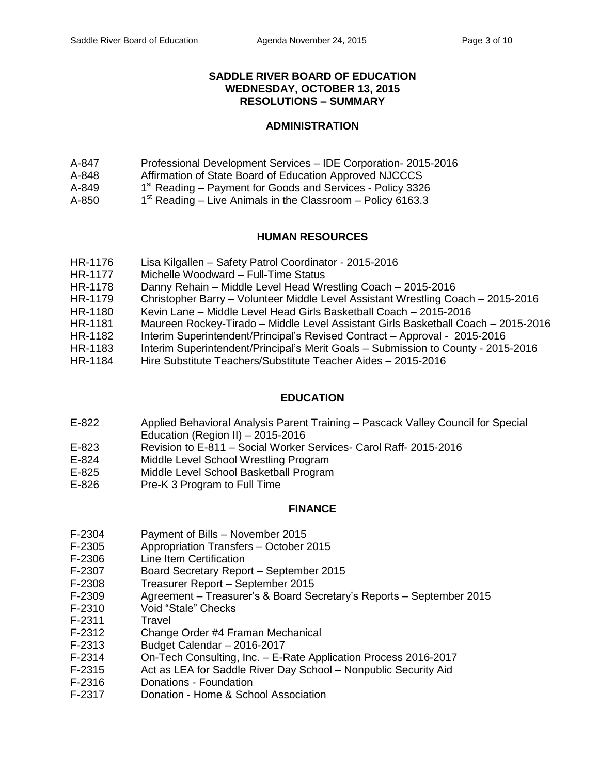## **SADDLE RIVER BOARD OF EDUCATION WEDNESDAY, OCTOBER 13, 2015 RESOLUTIONS – SUMMARY**

# **ADMINISTRATION**

- A-847 Professional Development Services IDE Corporation- 2015-2016
- A-848 Affirmation of State Board of Education Approved NJCCCS
- A-849 1<sup>st</sup> Reading – Payment for Goods and Services - Policy 3326
- $A 850$  $1<sup>st</sup>$  Reading – Live Animals in the Classroom – Policy 6163.3

# **HUMAN RESOURCES**

- HR-1176 Lisa Kilgallen Safety Patrol Coordinator 2015-2016
- HR-1177 Michelle Woodward Full-Time Status
- HR-1178 Danny Rehain Middle Level Head Wrestling Coach 2015-2016
- HR-1179 Christopher Barry Volunteer Middle Level Assistant Wrestling Coach 2015-2016
- HR-1180 Kevin Lane Middle Level Head Girls Basketball Coach 2015-2016
- HR-1181 Maureen Rockey-Tirado Middle Level Assistant Girls Basketball Coach 2015-2016
- HR-1182 Interim Superintendent/Principal's Revised Contract Approval 2015-2016
- HR-1183 Interim Superintendent/Principal's Merit Goals Submission to County 2015-2016
- HR-1184 Hire Substitute Teachers/Substitute Teacher Aides 2015-2016

# **EDUCATION**

- E-822 Applied Behavioral Analysis Parent Training Pascack Valley Council for Special Education (Region II) – 2015-2016
- E-823 Revision to E-811 Social Worker Services- Carol Raff- 2015-2016
- E-824 Middle Level School Wrestling Program
- E-825 Middle Level School Basketball Program<br>E-826 Pre-K 3 Program to Full Time
- Pre-K 3 Program to Full Time

# **FINANCE**

- F-2304 Payment of Bills November 2015
- F-2305 Appropriation Transfers October 2015
- F-2306 Line Item Certification
- F-2307 Board Secretary Report September 2015
- F-2308 Treasurer Report September 2015
- F-2309 Agreement Treasurer's & Board Secretary's Reports September 2015
- F-2310 Void "Stale" Checks
- F-2311 Travel
- F-2312 Change Order #4 Framan Mechanical
- F-2313 Budget Calendar 2016-2017
- F-2314 On-Tech Consulting, Inc. E-Rate Application Process 2016-2017
- F-2315 Act as LEA for Saddle River Day School Nonpublic Security Aid
- F-2316 Donations Foundation
- F-2317 Donation Home & School Association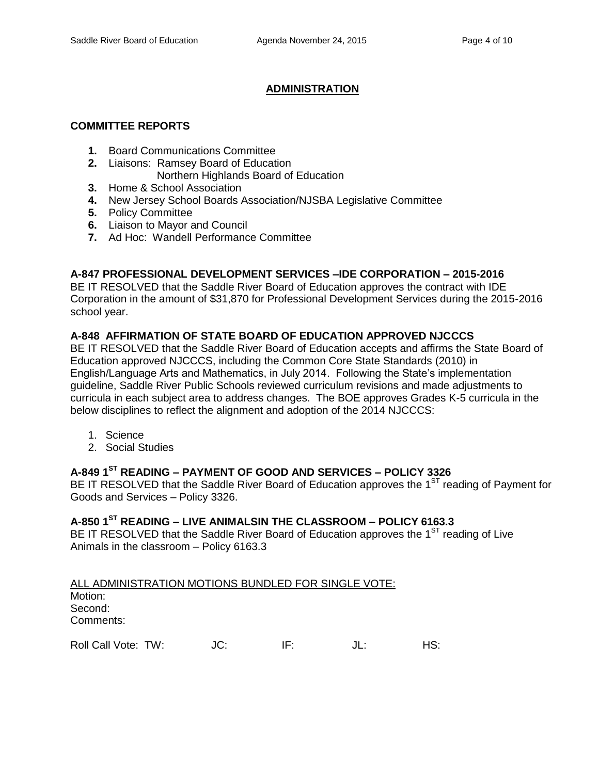# **ADMINISTRATION**

#### **COMMITTEE REPORTS**

- **1.** Board Communications Committee
- **2.** Liaisons: Ramsey Board of Education
	- Northern Highlands Board of Education
- **3.** Home & School Association
- **4.** New Jersey School Boards Association/NJSBA Legislative Committee
- **5.** Policy Committee
- **6.** Liaison to Mayor and Council
- **7.** Ad Hoc: Wandell Performance Committee

# **A-847 PROFESSIONAL DEVELOPMENT SERVICES –IDE CORPORATION – 2015-2016**

BE IT RESOLVED that the Saddle River Board of Education approves the contract with IDE Corporation in the amount of \$31,870 for Professional Development Services during the 2015-2016 school year.

# **A-848 AFFIRMATION OF STATE BOARD OF EDUCATION APPROVED NJCCCS**

BE IT RESOLVED that the Saddle River Board of Education accepts and affirms the State Board of Education approved NJCCCS, including the Common Core State Standards (2010) in English/Language Arts and Mathematics, in July 2014. Following the State's implementation guideline, Saddle River Public Schools reviewed curriculum revisions and made adjustments to curricula in each subject area to address changes. The BOE approves Grades K-5 curricula in the below disciplines to reflect the alignment and adoption of the 2014 NJCCCS:

- 1. Science
- 2. Social Studies

# **A-849 1ST READING – PAYMENT OF GOOD AND SERVICES – POLICY 3326**

BE IT RESOLVED that the Saddle River Board of Education approves the  $1<sup>ST</sup>$  reading of Payment for Goods and Services – Policy 3326.

#### **A-850 1ST READING – LIVE ANIMALSIN THE CLASSROOM – POLICY 6163.3**

BE IT RESOLVED that the Saddle River Board of Education approves the  $1<sup>ST</sup>$  reading of Live Animals in the classroom – Policy 6163.3

ALL ADMINISTRATION MOTIONS BUNDLED FOR SINGLE VOTE: Motion: Second: Comments:

Roll Call Vote: TW:  $JC:$  IF:  $JL:$  HS: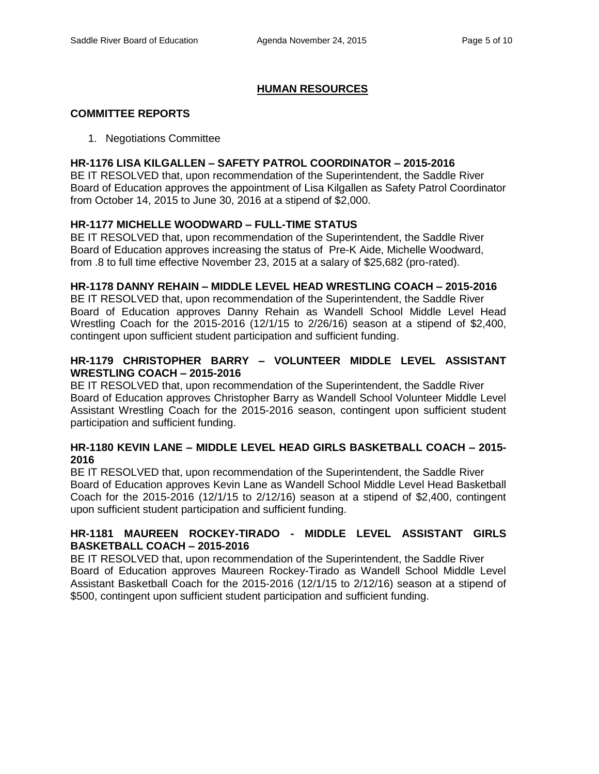# **HUMAN RESOURCES**

#### **COMMITTEE REPORTS**

1. Negotiations Committee

#### **HR-1176 LISA KILGALLEN – SAFETY PATROL COORDINATOR – 2015-2016**

BE IT RESOLVED that, upon recommendation of the Superintendent, the Saddle River Board of Education approves the appointment of Lisa Kilgallen as Safety Patrol Coordinator from October 14, 2015 to June 30, 2016 at a stipend of \$2,000.

#### **HR-1177 MICHELLE WOODWARD – FULL-TIME STATUS**

BE IT RESOLVED that, upon recommendation of the Superintendent, the Saddle River Board of Education approves increasing the status of Pre-K Aide, Michelle Woodward, from .8 to full time effective November 23, 2015 at a salary of \$25,682 (pro-rated).

### **HR-1178 DANNY REHAIN – MIDDLE LEVEL HEAD WRESTLING COACH – 2015-2016**

BE IT RESOLVED that, upon recommendation of the Superintendent, the Saddle River Board of Education approves Danny Rehain as Wandell School Middle Level Head Wrestling Coach for the 2015-2016 (12/1/15 to 2/26/16) season at a stipend of \$2,400, contingent upon sufficient student participation and sufficient funding.

# **HR-1179 CHRISTOPHER BARRY – VOLUNTEER MIDDLE LEVEL ASSISTANT WRESTLING COACH – 2015-2016**

BE IT RESOLVED that, upon recommendation of the Superintendent, the Saddle River Board of Education approves Christopher Barry as Wandell School Volunteer Middle Level Assistant Wrestling Coach for the 2015-2016 season, contingent upon sufficient student participation and sufficient funding.

### **HR-1180 KEVIN LANE – MIDDLE LEVEL HEAD GIRLS BASKETBALL COACH – 2015- 2016**

BE IT RESOLVED that, upon recommendation of the Superintendent, the Saddle River Board of Education approves Kevin Lane as Wandell School Middle Level Head Basketball Coach for the 2015-2016 (12/1/15 to 2/12/16) season at a stipend of \$2,400, contingent upon sufficient student participation and sufficient funding.

## **HR-1181 MAUREEN ROCKEY-TIRADO - MIDDLE LEVEL ASSISTANT GIRLS BASKETBALL COACH – 2015-2016**

BE IT RESOLVED that, upon recommendation of the Superintendent, the Saddle River Board of Education approves Maureen Rockey-Tirado as Wandell School Middle Level Assistant Basketball Coach for the 2015-2016 (12/1/15 to 2/12/16) season at a stipend of \$500, contingent upon sufficient student participation and sufficient funding.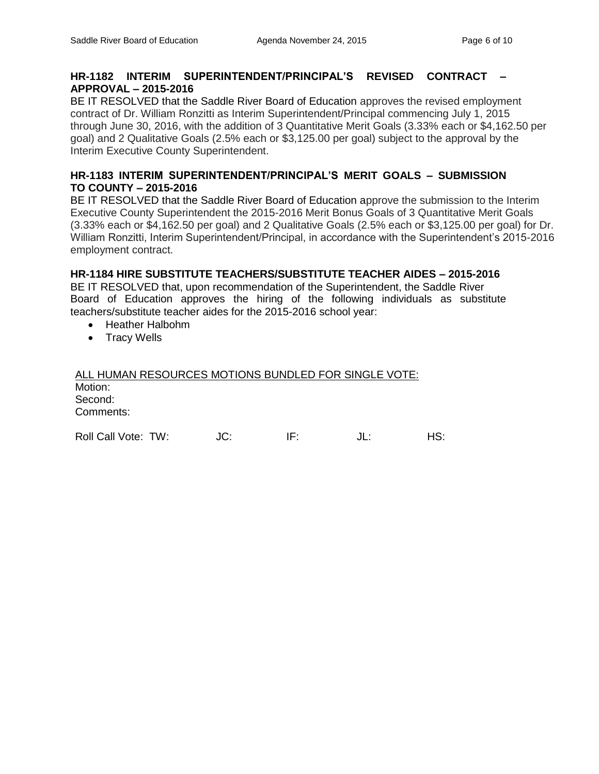## **HR-1182 INTERIM SUPERINTENDENT/PRINCIPAL'S REVISED CONTRACT – APPROVAL – 2015-2016**

BE IT RESOLVED that the Saddle River Board of Education approves the revised employment contract of Dr. William Ronzitti as Interim Superintendent/Principal commencing July 1, 2015 through June 30, 2016, with the addition of 3 Quantitative Merit Goals (3.33% each or \$4,162.50 per goal) and 2 Qualitative Goals (2.5% each or \$3,125.00 per goal) subject to the approval by the Interim Executive County Superintendent.

## **HR-1183 INTERIM SUPERINTENDENT/PRINCIPAL'S MERIT GOALS – SUBMISSION TO COUNTY – 2015-2016**

BE IT RESOLVED that the Saddle River Board of Education approve the submission to the Interim Executive County Superintendent the 2015-2016 Merit Bonus Goals of 3 Quantitative Merit Goals (3.33% each or \$4,162.50 per goal) and 2 Qualitative Goals (2.5% each or \$3,125.00 per goal) for Dr. William Ronzitti, Interim Superintendent/Principal, in accordance with the Superintendent's 2015-2016 employment contract.

# **HR-1184 HIRE SUBSTITUTE TEACHERS/SUBSTITUTE TEACHER AIDES – 2015-2016**

BE IT RESOLVED that, upon recommendation of the Superintendent, the Saddle River Board of Education approves the hiring of the following individuals as substitute teachers/substitute teacher aides for the 2015-2016 school year:

- Heather Halbohm
- Tracy Wells

| ALL HUMAN RESOURCES MOTIONS BUNDLED FOR SINGLE VOTE: |     |     |        |     |
|------------------------------------------------------|-----|-----|--------|-----|
| Motion:                                              |     |     |        |     |
| Second:                                              |     |     |        |     |
| Comments:                                            |     |     |        |     |
| Roll Call Vote: TW:                                  | JC. | IF∸ | . II ÷ | HS. |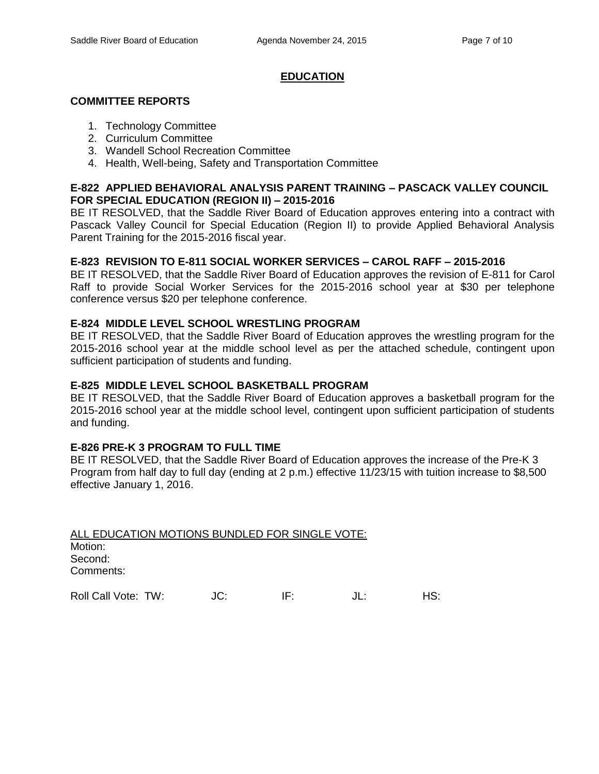# **EDUCATION**

### **COMMITTEE REPORTS**

- 1. Technology Committee
- 2. Curriculum Committee
- 3. Wandell School Recreation Committee
- 4. Health, Well-being, Safety and Transportation Committee

### **E-822 APPLIED BEHAVIORAL ANALYSIS PARENT TRAINING – PASCACK VALLEY COUNCIL FOR SPECIAL EDUCATION (REGION II) – 2015-2016**

BE IT RESOLVED, that the Saddle River Board of Education approves entering into a contract with Pascack Valley Council for Special Education (Region II) to provide Applied Behavioral Analysis Parent Training for the 2015-2016 fiscal year.

### **E-823 REVISION TO E-811 SOCIAL WORKER SERVICES – CAROL RAFF – 2015-2016**

BE IT RESOLVED, that the Saddle River Board of Education approves the revision of E-811 for Carol Raff to provide Social Worker Services for the 2015-2016 school year at \$30 per telephone conference versus \$20 per telephone conference.

### **E-824 MIDDLE LEVEL SCHOOL WRESTLING PROGRAM**

BE IT RESOLVED, that the Saddle River Board of Education approves the wrestling program for the 2015-2016 school year at the middle school level as per the attached schedule, contingent upon sufficient participation of students and funding.

### **E-825 MIDDLE LEVEL SCHOOL BASKETBALL PROGRAM**

BE IT RESOLVED, that the Saddle River Board of Education approves a basketball program for the 2015-2016 school year at the middle school level, contingent upon sufficient participation of students and funding.

#### **E-826 PRE-K 3 PROGRAM TO FULL TIME**

BE IT RESOLVED, that the Saddle River Board of Education approves the increase of the Pre-K 3 Program from half day to full day (ending at 2 p.m.) effective 11/23/15 with tuition increase to \$8,500 effective January 1, 2016.

ALL EDUCATION MOTIONS BUNDLED FOR SINGLE VOTE: Motion: Second: Comments:

Roll Call Vote: TW:  $JC:$  IF:  $JL:$  HS: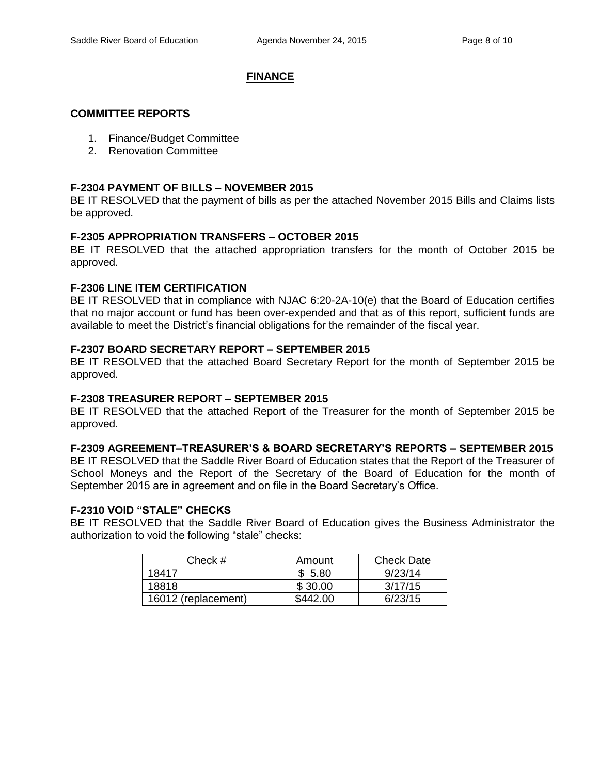### **FINANCE**

#### **COMMITTEE REPORTS**

- 1. Finance/Budget Committee
- 2. Renovation Committee

### **F-2304 PAYMENT OF BILLS – NOVEMBER 2015**

BE IT RESOLVED that the payment of bills as per the attached November 2015 Bills and Claims lists be approved.

### **F-2305 APPROPRIATION TRANSFERS – OCTOBER 2015**

BE IT RESOLVED that the attached appropriation transfers for the month of October 2015 be approved.

### **F-2306 LINE ITEM CERTIFICATION**

BE IT RESOLVED that in compliance with NJAC 6:20-2A-10(e) that the Board of Education certifies that no major account or fund has been over-expended and that as of this report, sufficient funds are available to meet the District's financial obligations for the remainder of the fiscal year.

### **F-2307 BOARD SECRETARY REPORT – SEPTEMBER 2015**

BE IT RESOLVED that the attached Board Secretary Report for the month of September 2015 be approved.

#### **F-2308 TREASURER REPORT – SEPTEMBER 2015**

BE IT RESOLVED that the attached Report of the Treasurer for the month of September 2015 be approved.

# **F-2309 AGREEMENT–TREASURER'S & BOARD SECRETARY'S REPORTS – SEPTEMBER 2015**

BE IT RESOLVED that the Saddle River Board of Education states that the Report of the Treasurer of School Moneys and the Report of the Secretary of the Board of Education for the month of September 2015 are in agreement and on file in the Board Secretary's Office.

#### **F-2310 VOID "STALE" CHECKS**

BE IT RESOLVED that the Saddle River Board of Education gives the Business Administrator the authorization to void the following "stale" checks:

| Check #             | Amount   | <b>Check Date</b> |
|---------------------|----------|-------------------|
| 18417               | \$5.80   | 9/23/14           |
| 18818               | \$30.00  | 3/17/15           |
| 16012 (replacement) | \$442.00 | 6/23/15           |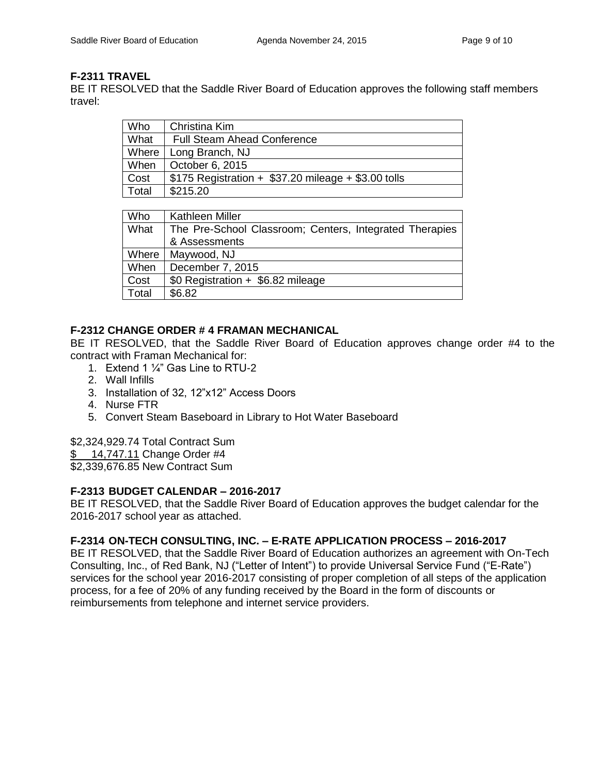# **F-2311 TRAVEL**

BE IT RESOLVED that the Saddle River Board of Education approves the following staff members travel:

| Who   | Christina Kim                                          |
|-------|--------------------------------------------------------|
| What  | <b>Full Steam Ahead Conference</b>                     |
|       | Where   Long Branch, NJ                                |
| When  | October 6, 2015                                        |
| Cost  | $$175$ Registration + $$37.20$ mileage + $$3.00$ tolls |
| Total | \$215.20                                               |

| <b>Who</b> | Kathleen Miller                                         |
|------------|---------------------------------------------------------|
| What       | The Pre-School Classroom; Centers, Integrated Therapies |
|            | & Assessments                                           |
| Where      | Maywood, NJ                                             |
| When       | December 7, 2015                                        |
| Cost       | \$0 Registration + \$6.82 mileage                       |
| Total      | \$6.82                                                  |

# **F-2312 CHANGE ORDER # 4 FRAMAN MECHANICAL**

BE IT RESOLVED, that the Saddle River Board of Education approves change order #4 to the contract with Framan Mechanical for:

- 1. Extend 1 ¼" Gas Line to RTU-2
- 2. Wall Infills
- 3. Installation of 32, 12"x12" Access Doors
- 4. Nurse FTR
- 5. Convert Steam Baseboard in Library to Hot Water Baseboard

# \$2,324,929.74 Total Contract Sum

\$ 14,747.11 Change Order #4

\$2,339,676.85 New Contract Sum

# **F-2313 BUDGET CALENDAR – 2016-2017**

BE IT RESOLVED, that the Saddle River Board of Education approves the budget calendar for the 2016-2017 school year as attached.

# **F-2314 ON-TECH CONSULTING, INC. – E-RATE APPLICATION PROCESS – 2016-2017**

BE IT RESOLVED, that the Saddle River Board of Education authorizes an agreement with On-Tech Consulting, Inc., of Red Bank, NJ ("Letter of Intent") to provide Universal Service Fund ("E-Rate") services for the school year 2016-2017 consisting of proper completion of all steps of the application process, for a fee of 20% of any funding received by the Board in the form of discounts or reimbursements from telephone and internet service providers.